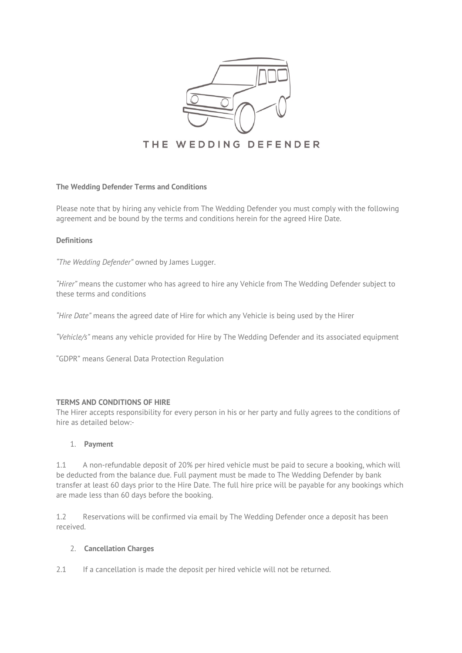

### **The Wedding Defender Terms and Conditions**

Please note that by hiring any vehicle from The Wedding Defender you must comply with the following agreement and be bound by the terms and conditions herein for the agreed Hire Date.

### **Definitions**

*"The Wedding Defender"* owned by James Lugger.

*"Hirer"* means the customer who has agreed to hire any Vehicle from The Wedding Defender subject to these terms and conditions

*"Hire Date"* means the agreed date of Hire for which any Vehicle is being used by the Hirer

*"Vehicle/s"* means any vehicle provided for Hire by The Wedding Defender and its associated equipment

"GDPR" means General Data Protection Regulation

#### **TERMS AND CONDITIONS OF HIRE**

The Hirer accepts responsibility for every person in his or her party and fully agrees to the conditions of hire as detailed below:-

#### 1. **Payment**

1.1 A non-refundable deposit of 20% per hired vehicle must be paid to secure a booking, which will be deducted from the balance due. Full payment must be made to The Wedding Defender by bank transfer at least 60 days prior to the Hire Date. The full hire price will be payable for any bookings which are made less than 60 days before the booking.

1.2 Reservations will be confirmed via email by The Wedding Defender once a deposit has been received.

### 2. **Cancellation Charges**

2.1 If a cancellation is made the deposit per hired vehicle will not be returned.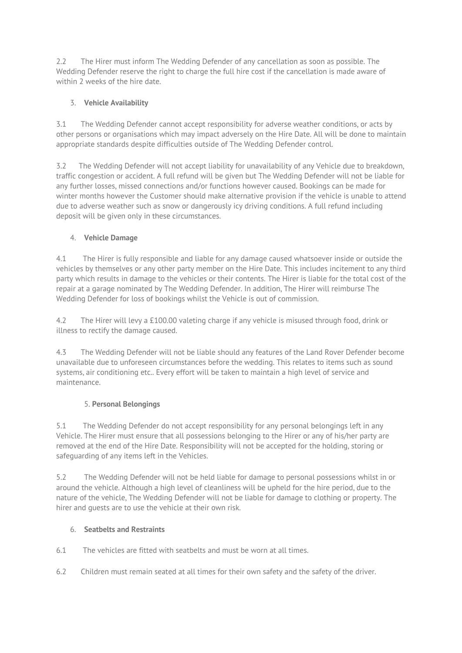2.2 The Hirer must inform The Wedding Defender of any cancellation as soon as possible. The Wedding Defender reserve the right to charge the full hire cost if the cancellation is made aware of within 2 weeks of the hire date.

# 3. **Vehicle Availability**

3.1 The Wedding Defender cannot accept responsibility for adverse weather conditions, or acts by other persons or organisations which may impact adversely on the Hire Date. All will be done to maintain appropriate standards despite difficulties outside of The Wedding Defender control.

3.2 The Wedding Defender will not accept liability for unavailability of any Vehicle due to breakdown, traffic congestion or accident. A full refund will be given but The Wedding Defender will not be liable for any further losses, missed connections and/or functions however caused. Bookings can be made for winter months however the Customer should make alternative provision if the vehicle is unable to attend due to adverse weather such as snow or dangerously icy driving conditions. A full refund including deposit will be given only in these circumstances.

# 4. **Vehicle Damage**

4.1 The Hirer is fully responsible and liable for any damage caused whatsoever inside or outside the vehicles by themselves or any other party member on the Hire Date. This includes incitement to any third party which results in damage to the vehicles or their contents. The Hirer is liable for the total cost of the repair at a garage nominated by The Wedding Defender. In addition, The Hirer will reimburse The Wedding Defender for loss of bookings whilst the Vehicle is out of commission.

4.2 The Hirer will levy a £100.00 valeting charge if any vehicle is misused through food, drink or illness to rectify the damage caused.

4.3 The Wedding Defender will not be liable should any features of the Land Rover Defender become unavailable due to unforeseen circumstances before the wedding. This relates to items such as sound systems, air conditioning etc.. Every effort will be taken to maintain a high level of service and maintenance.

## 5. **Personal Belongings**

5.1 The Wedding Defender do not accept responsibility for any personal belongings left in any Vehicle. The Hirer must ensure that all possessions belonging to the Hirer or any of his/her party are removed at the end of the Hire Date. Responsibility will not be accepted for the holding, storing or safeguarding of any items left in the Vehicles.

5.2 The Wedding Defender will not be held liable for damage to personal possessions whilst in or around the vehicle. Although a high level of cleanliness will be upheld for the hire period, due to the nature of the vehicle, The Wedding Defender will not be liable for damage to clothing or property. The hirer and guests are to use the vehicle at their own risk.

## 6. **Seatbelts and Restraints**

6.1 The vehicles are fitted with seatbelts and must be worn at all times.

6.2 Children must remain seated at all times for their own safety and the safety of the driver.